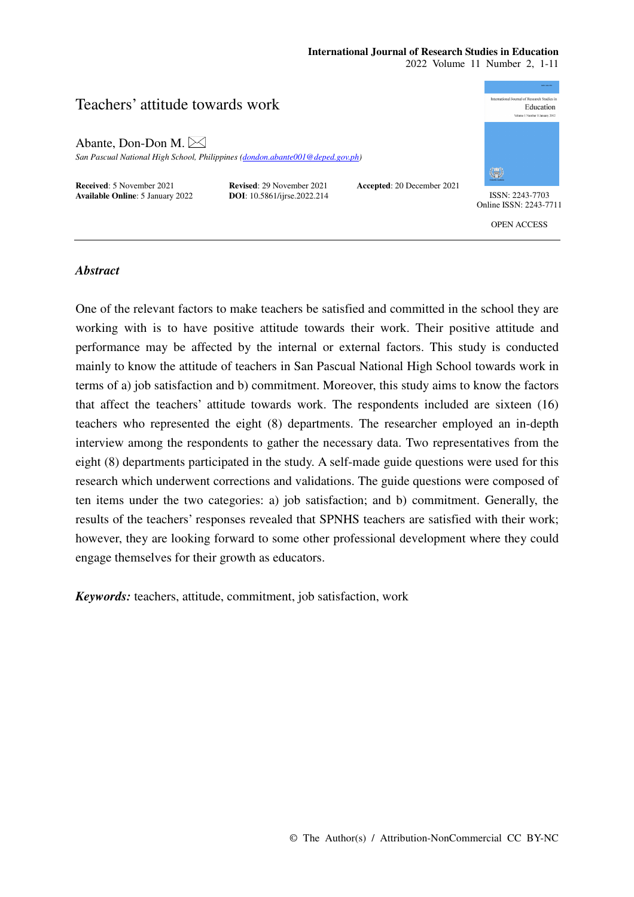# **International Journal of Research Studies in Education**

2022 Volume 11 Number 2, 1-11

# Teachers' attitude towards work

Abante, Don-Don M.

*San Pascual National High School, Philippines (dondon.abante001@deped.gov.ph)* 

**Received**: 5 November 2021 **Revised**: 29 November 2021 **Accepted**: 20 December 2021 **Available Online**: 5 January 2022 **DOI**: 10.5861/ijrse.2022.214 ISSN: 2243-7703



Online ISSN: 2243-7711

OPEN ACCESS

# *Abstract*

One of the relevant factors to make teachers be satisfied and committed in the school they are working with is to have positive attitude towards their work. Their positive attitude and performance may be affected by the internal or external factors. This study is conducted mainly to know the attitude of teachers in San Pascual National High School towards work in terms of a) job satisfaction and b) commitment. Moreover, this study aims to know the factors that affect the teachers' attitude towards work. The respondents included are sixteen (16) teachers who represented the eight (8) departments. The researcher employed an in-depth interview among the respondents to gather the necessary data. Two representatives from the eight (8) departments participated in the study. A self-made guide questions were used for this research which underwent corrections and validations. The guide questions were composed of ten items under the two categories: a) job satisfaction; and b) commitment. Generally, the results of the teachers' responses revealed that SPNHS teachers are satisfied with their work; however, they are looking forward to some other professional development where they could engage themselves for their growth as educators.

*Keywords:* teachers, attitude, commitment, job satisfaction, work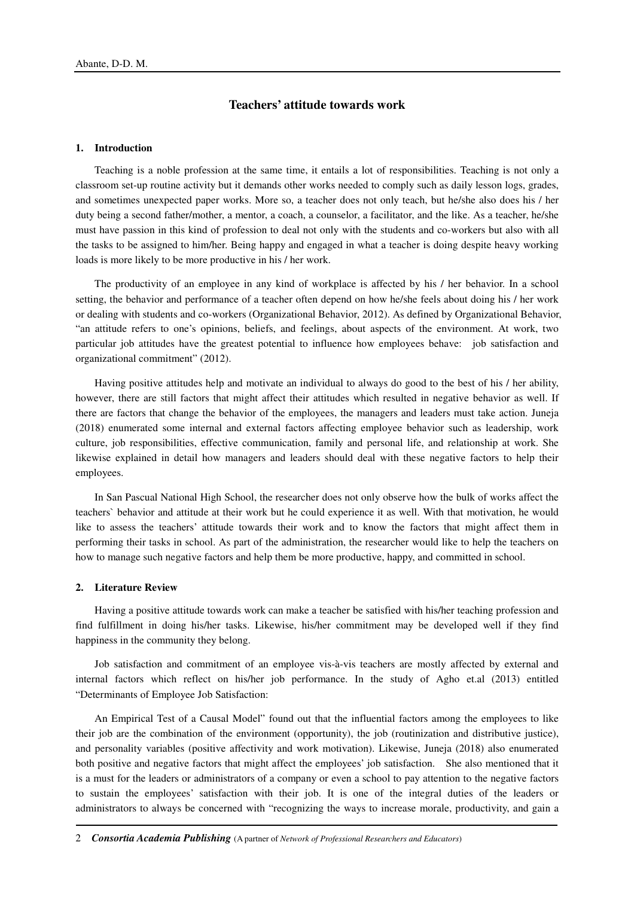# **Teachers' attitude towards work**

# **1. Introduction**

Teaching is a noble profession at the same time, it entails a lot of responsibilities. Teaching is not only a classroom set-up routine activity but it demands other works needed to comply such as daily lesson logs, grades, and sometimes unexpected paper works. More so, a teacher does not only teach, but he/she also does his / her duty being a second father/mother, a mentor, a coach, a counselor, a facilitator, and the like. As a teacher, he/she must have passion in this kind of profession to deal not only with the students and co-workers but also with all the tasks to be assigned to him/her. Being happy and engaged in what a teacher is doing despite heavy working loads is more likely to be more productive in his / her work.

The productivity of an employee in any kind of workplace is affected by his / her behavior. In a school setting, the behavior and performance of a teacher often depend on how he/she feels about doing his / her work or dealing with students and co-workers (Organizational Behavior, 2012). As defined by Organizational Behavior, "an attitude refers to one's opinions, beliefs, and feelings, about aspects of the environment. At work, two particular job attitudes have the greatest potential to influence how employees behave: job satisfaction and organizational commitment" (2012).

Having positive attitudes help and motivate an individual to always do good to the best of his / her ability, however, there are still factors that might affect their attitudes which resulted in negative behavior as well. If there are factors that change the behavior of the employees, the managers and leaders must take action. Juneja (2018) enumerated some internal and external factors affecting employee behavior such as leadership, work culture, job responsibilities, effective communication, family and personal life, and relationship at work. She likewise explained in detail how managers and leaders should deal with these negative factors to help their employees.

In San Pascual National High School, the researcher does not only observe how the bulk of works affect the teachers` behavior and attitude at their work but he could experience it as well. With that motivation, he would like to assess the teachers' attitude towards their work and to know the factors that might affect them in performing their tasks in school. As part of the administration, the researcher would like to help the teachers on how to manage such negative factors and help them be more productive, happy, and committed in school.

#### **2. Literature Review**

Having a positive attitude towards work can make a teacher be satisfied with his/her teaching profession and find fulfillment in doing his/her tasks. Likewise, his/her commitment may be developed well if they find happiness in the community they belong.

Job satisfaction and commitment of an employee vis-à-vis teachers are mostly affected by external and internal factors which reflect on his/her job performance. In the study of Agho et.al (2013) entitled "Determinants of Employee Job Satisfaction:

An Empirical Test of a Causal Model" found out that the influential factors among the employees to like their job are the combination of the environment (opportunity), the job (routinization and distributive justice), and personality variables (positive affectivity and work motivation). Likewise, Juneja (2018) also enumerated both positive and negative factors that might affect the employees' job satisfaction. She also mentioned that it is a must for the leaders or administrators of a company or even a school to pay attention to the negative factors to sustain the employees' satisfaction with their job. It is one of the integral duties of the leaders or administrators to always be concerned with "recognizing the ways to increase morale, productivity, and gain a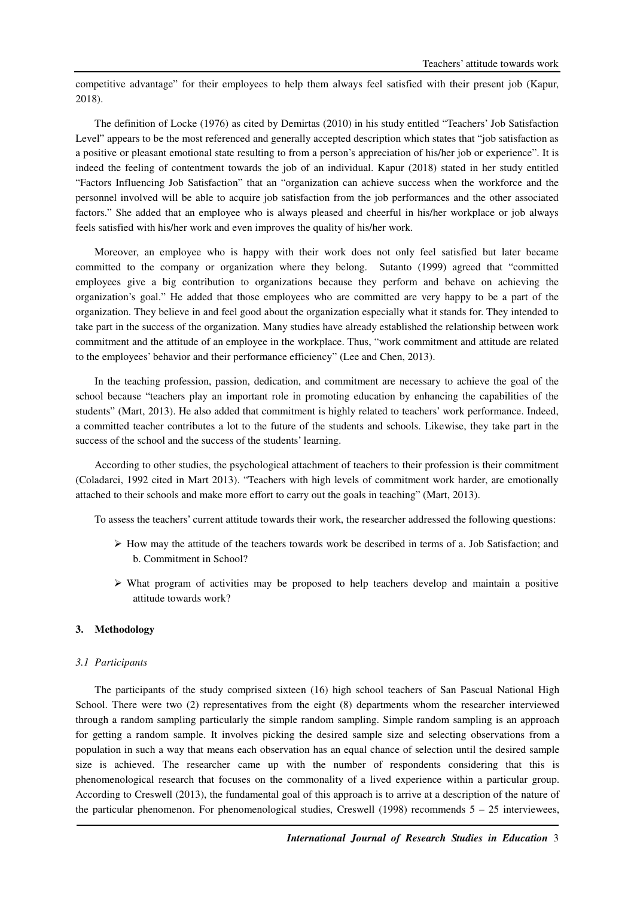competitive advantage" for their employees to help them always feel satisfied with their present job (Kapur, 2018).

The definition of Locke (1976) as cited by Demirtas (2010) in his study entitled "Teachers' Job Satisfaction Level" appears to be the most referenced and generally accepted description which states that "job satisfaction as a positive or pleasant emotional state resulting to from a person's appreciation of his/her job or experience". It is indeed the feeling of contentment towards the job of an individual. Kapur (2018) stated in her study entitled "Factors Influencing Job Satisfaction" that an "organization can achieve success when the workforce and the personnel involved will be able to acquire job satisfaction from the job performances and the other associated factors." She added that an employee who is always pleased and cheerful in his/her workplace or job always feels satisfied with his/her work and even improves the quality of his/her work.

Moreover, an employee who is happy with their work does not only feel satisfied but later became committed to the company or organization where they belong. Sutanto (1999) agreed that "committed employees give a big contribution to organizations because they perform and behave on achieving the organization's goal." He added that those employees who are committed are very happy to be a part of the organization. They believe in and feel good about the organization especially what it stands for. They intended to take part in the success of the organization. Many studies have already established the relationship between work commitment and the attitude of an employee in the workplace. Thus, "work commitment and attitude are related to the employees' behavior and their performance efficiency" (Lee and Chen, 2013).

In the teaching profession, passion, dedication, and commitment are necessary to achieve the goal of the school because "teachers play an important role in promoting education by enhancing the capabilities of the students" (Mart, 2013). He also added that commitment is highly related to teachers' work performance. Indeed, a committed teacher contributes a lot to the future of the students and schools. Likewise, they take part in the success of the school and the success of the students' learning.

According to other studies, the psychological attachment of teachers to their profession is their commitment (Coladarci, 1992 cited in Mart 2013). "Teachers with high levels of commitment work harder, are emotionally attached to their schools and make more effort to carry out the goals in teaching" (Mart, 2013).

To assess the teachers' current attitude towards their work, the researcher addressed the following questions:

- $\triangleright$  How may the attitude of the teachers towards work be described in terms of a. Job Satisfaction; and b. Commitment in School?
- $\triangleright$  What program of activities may be proposed to help teachers develop and maintain a positive attitude towards work?

# **3. Methodology**

#### *3.1 Participants*

The participants of the study comprised sixteen (16) high school teachers of San Pascual National High School. There were two (2) representatives from the eight (8) departments whom the researcher interviewed through a random sampling particularly the simple random sampling. Simple random sampling is an approach for getting a random sample. It involves picking the desired sample size and selecting observations from a population in such a way that means each observation has an equal chance of selection until the desired sample size is achieved. The researcher came up with the number of respondents considering that this is phenomenological research that focuses on the commonality of a lived experience within a particular group. According to Creswell (2013), the fundamental goal of this approach is to arrive at a description of the nature of the particular phenomenon. For phenomenological studies, Creswell (1998) recommends 5 – 25 interviewees,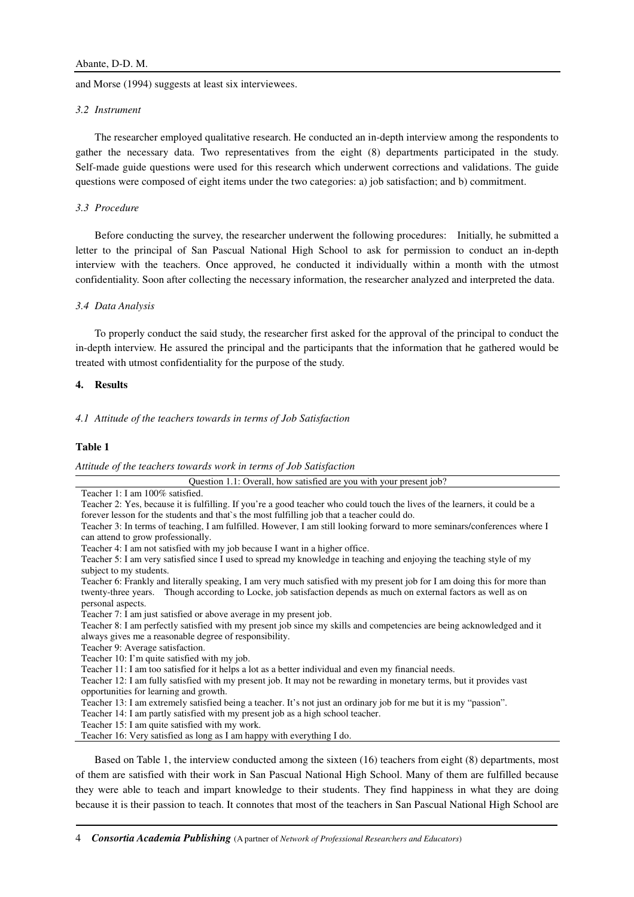and Morse (1994) suggests at least six interviewees.

#### *3.2 Instrument*

The researcher employed qualitative research. He conducted an in-depth interview among the respondents to gather the necessary data. Two representatives from the eight (8) departments participated in the study. Self-made guide questions were used for this research which underwent corrections and validations. The guide questions were composed of eight items under the two categories: a) job satisfaction; and b) commitment.

# *3.3 Procedure*

Before conducting the survey, the researcher underwent the following procedures: Initially, he submitted a letter to the principal of San Pascual National High School to ask for permission to conduct an in-depth interview with the teachers. Once approved, he conducted it individually within a month with the utmost confidentiality. Soon after collecting the necessary information, the researcher analyzed and interpreted the data.

#### *3.4 Data Analysis*

To properly conduct the said study, the researcher first asked for the approval of the principal to conduct the in-depth interview. He assured the principal and the participants that the information that he gathered would be treated with utmost confidentiality for the purpose of the study.

#### **4. Results**

*4.1 Attitude of the teachers towards in terms of Job Satisfaction* 

#### **Table 1**

*Attitude of the teachers towards work in terms of Job Satisfaction* 

Question 1.1: Overall, how satisfied are you with your present job? Teacher 1: I am 100% satisfied. Teacher 2: Yes, because it is fulfilling. If you're a good teacher who could touch the lives of the learners, it could be a forever lesson for the students and that`s the most fulfilling job that a teacher could do.

Teacher 4: I am not satisfied with my job because I want in a higher office.

Teacher 6: Frankly and literally speaking, I am very much satisfied with my present job for I am doing this for more than twenty-three years. Though according to Locke, job satisfaction depends as much on external factors as well as on personal aspects.

Teacher 7: I am just satisfied or above average in my present job.

Teacher 8: I am perfectly satisfied with my present job since my skills and competencies are being acknowledged and it always gives me a reasonable degree of responsibility.

Teacher 9: Average satisfaction.

Teacher 10: I'm quite satisfied with my job.

Teacher 11: I am too satisfied for it helps a lot as a better individual and even my financial needs.

Teacher 12: I am fully satisfied with my present job. It may not be rewarding in monetary terms, but it provides vast opportunities for learning and growth.

Teacher 13: I am extremely satisfied being a teacher. It's not just an ordinary job for me but it is my "passion".

Teacher 14: I am partly satisfied with my present job as a high school teacher.

Teacher 15: I am quite satisfied with my work.

Teacher 16: Very satisfied as long as I am happy with everything I do.

Based on Table 1, the interview conducted among the sixteen (16) teachers from eight (8) departments, most of them are satisfied with their work in San Pascual National High School. Many of them are fulfilled because they were able to teach and impart knowledge to their students. They find happiness in what they are doing because it is their passion to teach. It connotes that most of the teachers in San Pascual National High School are

Teacher 3: In terms of teaching, I am fulfilled. However, I am still looking forward to more seminars/conferences where I can attend to grow professionally.

Teacher 5: I am very satisfied since I used to spread my knowledge in teaching and enjoying the teaching style of my subject to my students.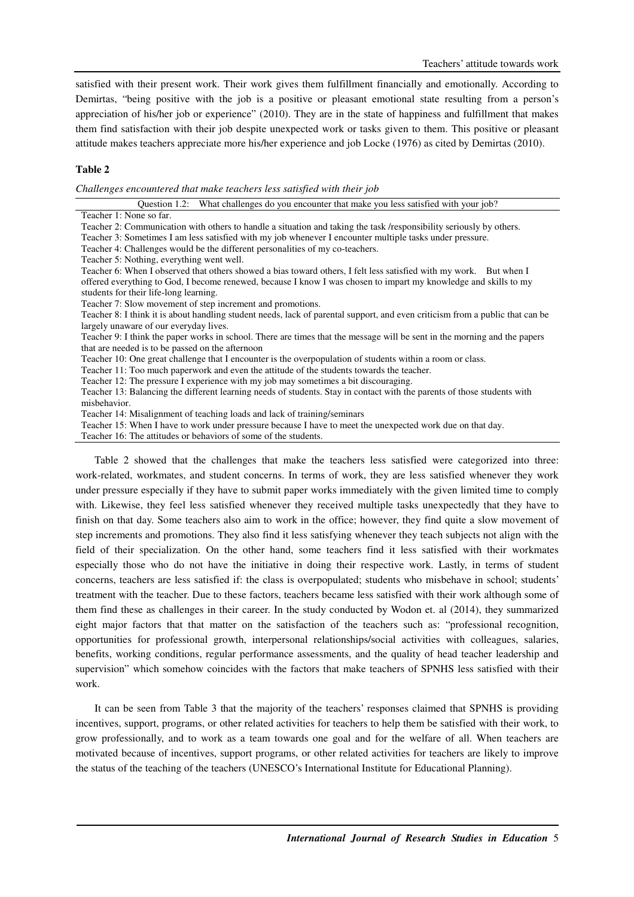satisfied with their present work. Their work gives them fulfillment financially and emotionally. According to Demirtas, "being positive with the job is a positive or pleasant emotional state resulting from a person's appreciation of his/her job or experience" (2010). They are in the state of happiness and fulfillment that makes them find satisfaction with their job despite unexpected work or tasks given to them. This positive or pleasant attitude makes teachers appreciate more his/her experience and job Locke (1976) as cited by Demirtas (2010).

# **Table 2**

*Challenges encountered that make teachers less satisfied with their job* 

| Duestion $1.2$ :        | What challenges do you encounter that make you less satisfied with your job? |
|-------------------------|------------------------------------------------------------------------------|
| Teacher 1: None so far. |                                                                              |

Teacher 2: Communication with others to handle a situation and taking the task /responsibility seriously by others.

Teacher 3: Sometimes I am less satisfied with my job whenever I encounter multiple tasks under pressure.

Teacher 4: Challenges would be the different personalities of my co-teachers.

Teacher 5: Nothing, everything went well.

Teacher 6: When I observed that others showed a bias toward others, I felt less satisfied with my work. But when I offered everything to God, I become renewed, because I know I was chosen to impart my knowledge and skills to my students for their life-long learning.

Teacher 7: Slow movement of step increment and promotions.

Teacher 8: I think it is about handling student needs, lack of parental support, and even criticism from a public that can be largely unaware of our everyday lives.

Teacher 9: I think the paper works in school. There are times that the message will be sent in the morning and the papers that are needed is to be passed on the afternoon

Teacher 10: One great challenge that I encounter is the overpopulation of students within a room or class.

Teacher 11: Too much paperwork and even the attitude of the students towards the teacher.

Teacher 12: The pressure I experience with my job may sometimes a bit discouraging.

Teacher 13: Balancing the different learning needs of students. Stay in contact with the parents of those students with misbehavior.

Teacher 14: Misalignment of teaching loads and lack of training/seminars

Teacher 15: When I have to work under pressure because I have to meet the unexpected work due on that day.

Teacher 16: The attitudes or behaviors of some of the students.

Table 2 showed that the challenges that make the teachers less satisfied were categorized into three: work-related, workmates, and student concerns. In terms of work, they are less satisfied whenever they work under pressure especially if they have to submit paper works immediately with the given limited time to comply with. Likewise, they feel less satisfied whenever they received multiple tasks unexpectedly that they have to finish on that day. Some teachers also aim to work in the office; however, they find quite a slow movement of step increments and promotions. They also find it less satisfying whenever they teach subjects not align with the field of their specialization. On the other hand, some teachers find it less satisfied with their workmates especially those who do not have the initiative in doing their respective work. Lastly, in terms of student concerns, teachers are less satisfied if: the class is overpopulated; students who misbehave in school; students' treatment with the teacher. Due to these factors, teachers became less satisfied with their work although some of them find these as challenges in their career. In the study conducted by Wodon et. al (2014), they summarized eight major factors that that matter on the satisfaction of the teachers such as: "professional recognition, opportunities for professional growth, interpersonal relationships/social activities with colleagues, salaries, benefits, working conditions, regular performance assessments, and the quality of head teacher leadership and supervision" which somehow coincides with the factors that make teachers of SPNHS less satisfied with their work.

It can be seen from Table 3 that the majority of the teachers' responses claimed that SPNHS is providing incentives, support, programs, or other related activities for teachers to help them be satisfied with their work, to grow professionally, and to work as a team towards one goal and for the welfare of all. When teachers are motivated because of incentives, support programs, or other related activities for teachers are likely to improve the status of the teaching of the teachers (UNESCO's International Institute for Educational Planning).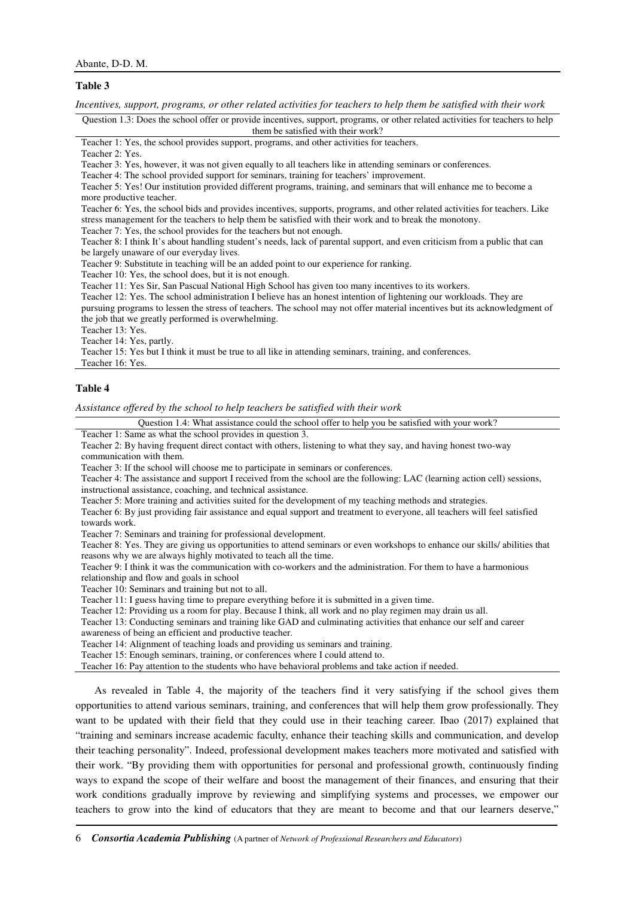#### **Table 3**

*Incentives, support, programs, or other related activities for teachers to help them be satisfied with their work* 

Question 1.3: Does the school offer or provide incentives, support, programs, or other related activities for teachers to help them be satisfied with their work?

Teacher 1: Yes, the school provides support, programs, and other activities for teachers.

Teacher 2: Yes.

Teacher 3: Yes, however, it was not given equally to all teachers like in attending seminars or conferences.

Teacher 4: The school provided support for seminars, training for teachers' improvement.

Teacher 5: Yes! Our institution provided different programs, training, and seminars that will enhance me to become a more productive teacher.

Teacher 6: Yes, the school bids and provides incentives, supports, programs, and other related activities for teachers. Like stress management for the teachers to help them be satisfied with their work and to break the monotony.

Teacher 7: Yes, the school provides for the teachers but not enough.

Teacher 8: I think It's about handling student's needs, lack of parental support, and even criticism from a public that can be largely unaware of our everyday lives.

Teacher 9: Substitute in teaching will be an added point to our experience for ranking.

Teacher 10: Yes, the school does, but it is not enough.

Teacher 11: Yes Sir, San Pascual National High School has given too many incentives to its workers.

Teacher 12: Yes. The school administration I believe has an honest intention of lightening our workloads. They are pursuing programs to lessen the stress of teachers. The school may not offer material incentives but its acknowledgment of the job that we greatly performed is overwhelming.

Teacher 13: Yes.

Teacher 14: Yes, partly.

Teacher 15: Yes but I think it must be true to all like in attending seminars, training, and conferences.

Teacher 16: Yes.

#### **Table 4**

*Assistance offered by the school to help teachers be satisfied with their work* 

Question 1.4: What assistance could the school offer to help you be satisfied with your work?

Teacher 1: Same as what the school provides in question 3.

Teacher 2: By having frequent direct contact with others, listening to what they say, and having honest two-way communication with them.

Teacher 3: If the school will choose me to participate in seminars or conferences.

Teacher 4: The assistance and support I received from the school are the following: LAC (learning action cell) sessions, instructional assistance, coaching, and technical assistance.

Teacher 5: More training and activities suited for the development of my teaching methods and strategies.

Teacher 6: By just providing fair assistance and equal support and treatment to everyone, all teachers will feel satisfied towards work.

Teacher 7: Seminars and training for professional development.

Teacher 8: Yes. They are giving us opportunities to attend seminars or even workshops to enhance our skills/ abilities that reasons why we are always highly motivated to teach all the time.

Teacher 9: I think it was the communication with co-workers and the administration. For them to have a harmonious relationship and flow and goals in school

Teacher 10: Seminars and training but not to all.

Teacher 11: I guess having time to prepare everything before it is submitted in a given time.

Teacher 12: Providing us a room for play. Because I think, all work and no play regimen may drain us all.

Teacher 13: Conducting seminars and training like GAD and culminating activities that enhance our self and career awareness of being an efficient and productive teacher.

Teacher 14: Alignment of teaching loads and providing us seminars and training.

Teacher 15: Enough seminars, training, or conferences where I could attend to.

Teacher 16: Pay attention to the students who have behavioral problems and take action if needed.

As revealed in Table 4, the majority of the teachers find it very satisfying if the school gives them opportunities to attend various seminars, training, and conferences that will help them grow professionally. They want to be updated with their field that they could use in their teaching career. Ibao (2017) explained that "training and seminars increase academic faculty, enhance their teaching skills and communication, and develop their teaching personality". Indeed, professional development makes teachers more motivated and satisfied with their work. "By providing them with opportunities for personal and professional growth, continuously finding ways to expand the scope of their welfare and boost the management of their finances, and ensuring that their work conditions gradually improve by reviewing and simplifying systems and processes, we empower our teachers to grow into the kind of educators that they are meant to become and that our learners deserve,"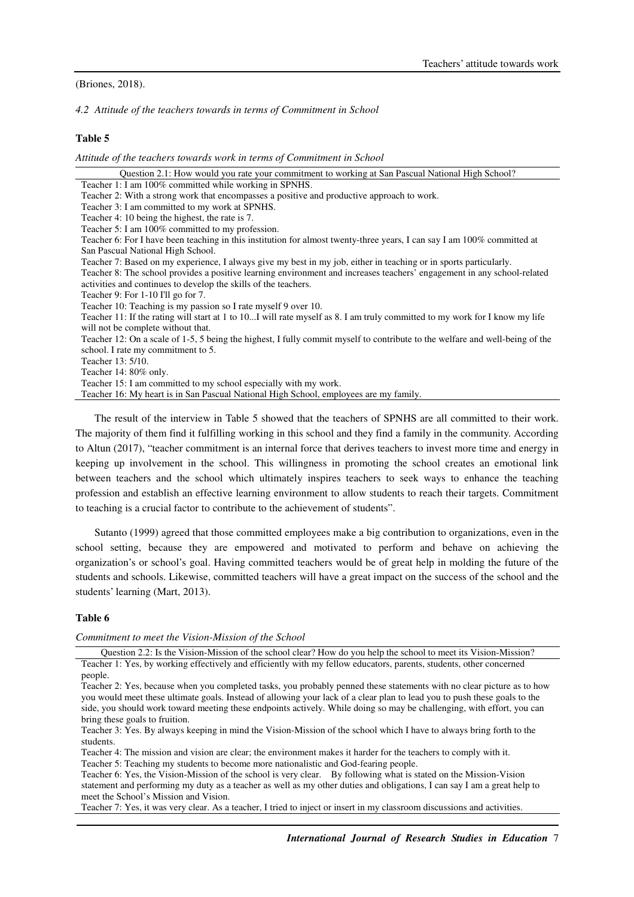(Briones, 2018).

*4.2 Attitude of the teachers towards in terms of Commitment in School* 

## **Table 5**

*Attitude of the teachers towards work in terms of Commitment in School* 

| Question 2.1: How would you rate your commitment to working at San Pascual National High School?                             |
|------------------------------------------------------------------------------------------------------------------------------|
| Teacher 1: I am 100% committed while working in SPNHS.                                                                       |
| Teacher 2: With a strong work that encompasses a positive and productive approach to work.                                   |
| Teacher 3: I am committed to my work at SPNHS.                                                                               |
| Teacher 4: 10 being the highest, the rate is 7.                                                                              |
| Teacher 5: I am 100% committed to my profession.                                                                             |
| Teacher 6: For I have been teaching in this institution for almost twenty-three years, I can say I am 100% committed at      |
| San Pascual National High School.                                                                                            |
| Teacher 7: Based on my experience, I always give my best in my job, either in teaching or in sports particularly.            |
| Teacher 8: The school provides a positive learning environment and increases teachers' engagement in any school-related      |
| activities and continues to develop the skills of the teachers.                                                              |
| Teacher 9: For 1-10 I'll go for 7.                                                                                           |
| Teacher 10: Teaching is my passion so I rate myself 9 over 10.                                                               |
| Teacher 11: If the rating will start at 1 to 10 I will rate myself as 8. I am truly committed to my work for I know my life  |
| will not be complete without that.                                                                                           |
| Teacher 12: On a scale of 1-5, 5 being the highest, I fully commit myself to contribute to the welfare and well-being of the |
| school. I rate my commitment to 5.                                                                                           |
| Teacher 13: 5/10.                                                                                                            |
| Teacher $14:80\%$ only.                                                                                                      |
| Teacher 15: I am committed to my school especially with my work.                                                             |
| Teacher 16: My heart is in San Pascual National High School, employees are my family.                                        |
|                                                                                                                              |

The result of the interview in Table 5 showed that the teachers of SPNHS are all committed to their work. The majority of them find it fulfilling working in this school and they find a family in the community. According to Altun (2017), "teacher commitment is an internal force that derives teachers to invest more time and energy in keeping up involvement in the school. This willingness in promoting the school creates an emotional link between teachers and the school which ultimately inspires teachers to seek ways to enhance the teaching profession and establish an effective learning environment to allow students to reach their targets. Commitment to teaching is a crucial factor to contribute to the achievement of students".

Sutanto (1999) agreed that those committed employees make a big contribution to organizations, even in the school setting, because they are empowered and motivated to perform and behave on achieving the organization's or school's goal. Having committed teachers would be of great help in molding the future of the students and schools. Likewise, committed teachers will have a great impact on the success of the school and the students' learning (Mart, 2013).

#### **Table 6**

*Commitment to meet the Vision-Mission of the School*

Question 2.2: Is the Vision-Mission of the school clear? How do you help the school to meet its Vision-Mission? Teacher 1: Yes, by working effectively and efficiently with my fellow educators, parents, students, other concerned people.

Teacher 2: Yes, because when you completed tasks, you probably penned these statements with no clear picture as to how you would meet these ultimate goals. Instead of allowing your lack of a clear plan to lead you to push these goals to the side, you should work toward meeting these endpoints actively. While doing so may be challenging, with effort, you can bring these goals to fruition.

Teacher 3: Yes. By always keeping in mind the Vision-Mission of the school which I have to always bring forth to the students.

Teacher 4: The mission and vision are clear; the environment makes it harder for the teachers to comply with it.

Teacher 5: Teaching my students to become more nationalistic and God-fearing people.

Teacher 6: Yes, the Vision-Mission of the school is very clear. By following what is stated on the Mission-Vision statement and performing my duty as a teacher as well as my other duties and obligations, I can say I am a great help to meet the School's Mission and Vision.

Teacher 7: Yes, it was very clear. As a teacher, I tried to inject or insert in my classroom discussions and activities.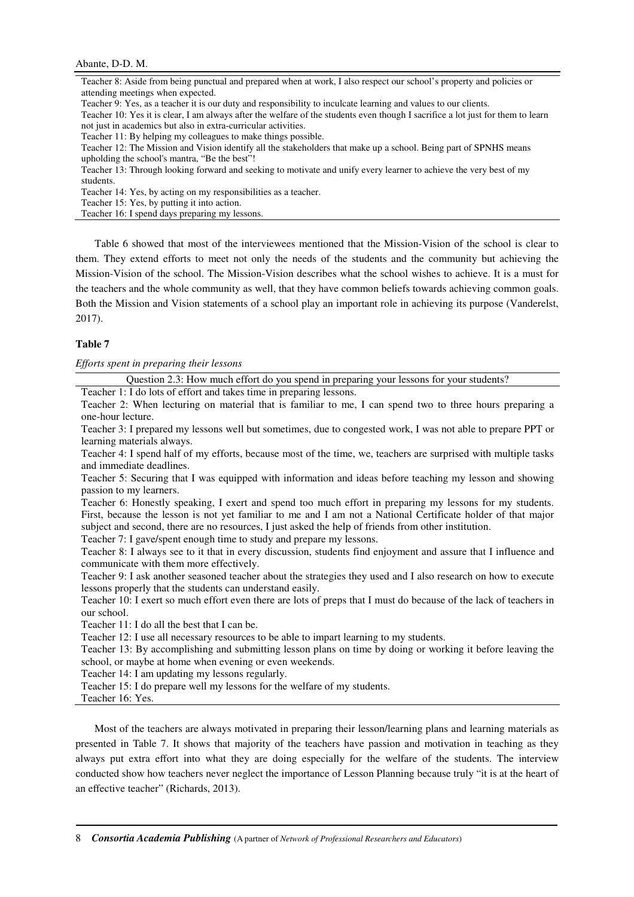# Abante, D-D. M.

Teacher 8: Aside from being punctual and prepared when at work, I also respect our school's property and policies or attending meetings when expected.

Teacher 9: Yes, as a teacher it is our duty and responsibility to inculcate learning and values to our clients.

Teacher 10: Yes it is clear, I am always after the welfare of the students even though I sacrifice a lot just for them to learn not just in academics but also in extra-curricular activities.

Teacher 11: By helping my colleagues to make things possible.

Teacher 12: The Mission and Vision identify all the stakeholders that make up a school. Being part of SPNHS means upholding the school's mantra, "Be the best"!

Teacher 13: Through looking forward and seeking to motivate and unify every learner to achieve the very best of my students.

Teacher 14: Yes, by acting on my responsibilities as a teacher.

Teacher 15: Yes, by putting it into action.

Teacher 16: I spend days preparing my lessons.

Table 6 showed that most of the interviewees mentioned that the Mission-Vision of the school is clear to them. They extend efforts to meet not only the needs of the students and the community but achieving the Mission-Vision of the school. The Mission-Vision describes what the school wishes to achieve. It is a must for the teachers and the whole community as well, that they have common beliefs towards achieving common goals. Both the Mission and Vision statements of a school play an important role in achieving its purpose (Vanderelst, 2017).

## **Table 7**

*Efforts spent in preparing their lessons* 

Question 2.3: How much effort do you spend in preparing your lessons for your students?

Teacher 1: I do lots of effort and takes time in preparing lessons.

Teacher 2: When lecturing on material that is familiar to me, I can spend two to three hours preparing a one-hour lecture.

Teacher 3: I prepared my lessons well but sometimes, due to congested work, I was not able to prepare PPT or learning materials always.

Teacher 4: I spend half of my efforts, because most of the time, we, teachers are surprised with multiple tasks and immediate deadlines.

Teacher 5: Securing that I was equipped with information and ideas before teaching my lesson and showing passion to my learners.

Teacher 6: Honestly speaking, I exert and spend too much effort in preparing my lessons for my students. First, because the lesson is not yet familiar to me and I am not a National Certificate holder of that major subject and second, there are no resources, I just asked the help of friends from other institution. Teacher 7: I gave/spent enough time to study and prepare my lessons.

Teacher 8: I always see to it that in every discussion, students find enjoyment and assure that I influence and communicate with them more effectively.

Teacher 9: I ask another seasoned teacher about the strategies they used and I also research on how to execute lessons properly that the students can understand easily.

Teacher 10: I exert so much effort even there are lots of preps that I must do because of the lack of teachers in our school.

Teacher 11: I do all the best that I can be.

Teacher 12: I use all necessary resources to be able to impart learning to my students.

Teacher 13: By accomplishing and submitting lesson plans on time by doing or working it before leaving the school, or maybe at home when evening or even weekends.

Teacher 14: I am updating my lessons regularly.

Teacher 15: I do prepare well my lessons for the welfare of my students.

Teacher 16: Yes.

Most of the teachers are always motivated in preparing their lesson/learning plans and learning materials as presented in Table 7. It shows that majority of the teachers have passion and motivation in teaching as they always put extra effort into what they are doing especially for the welfare of the students. The interview conducted show how teachers never neglect the importance of Lesson Planning because truly "it is at the heart of an effective teacher" (Richards, 2013).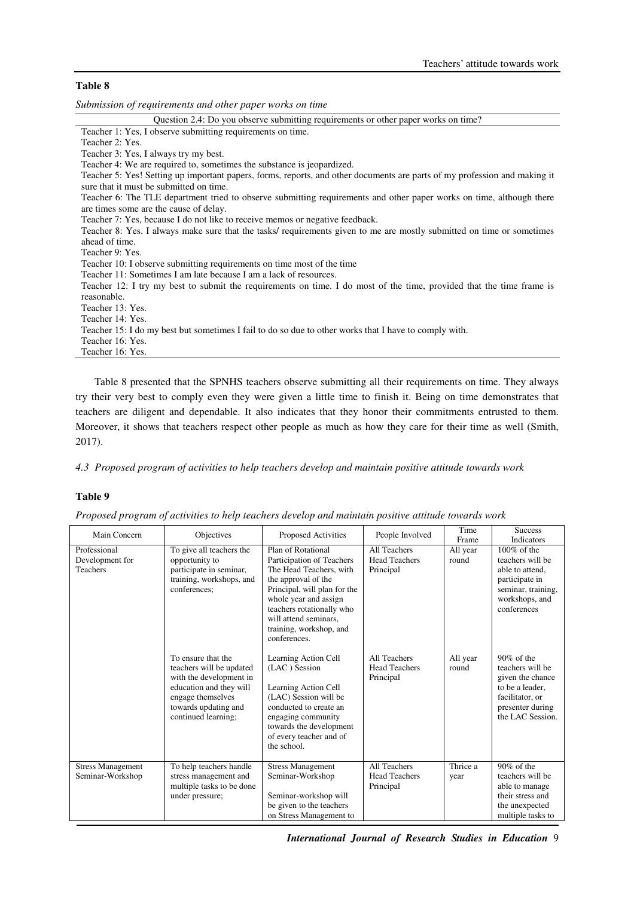# **Table 8**

*Submission of requirements and other paper works on time* 

| Question 2.4: Do you observe submitting requirements or other paper works on time?                                        |
|---------------------------------------------------------------------------------------------------------------------------|
| Teacher 1: Yes, I observe submitting requirements on time.                                                                |
| Teacher 2: Yes.                                                                                                           |
| Teacher 3: Yes, I always try my best.                                                                                     |
| Teacher 4: We are required to, sometimes the substance is jeopardized.                                                    |
| Teacher 5: Yes! Setting up important papers, forms, reports, and other documents are parts of my profession and making it |
| sure that it must be submitted on time.                                                                                   |
| Teacher 6: The TLE department tried to observe submitting requirements and other paper works on time, although there      |
| are times some are the cause of delay.                                                                                    |
| Teacher 7: Yes, because I do not like to receive memos or negative feedback.                                              |
| Teacher 8: Yes. I always make sure that the tasks/ requirements given to me are mostly submitted on time or sometimes     |
| ahead of time.                                                                                                            |
| Teacher 9: Yes.                                                                                                           |
| Teacher 10: I observe submitting requirements on time most of the time                                                    |
| Teacher 11: Sometimes I am late because I am a lack of resources.                                                         |
| Teacher 12: I try my best to submit the requirements on time. I do most of the time, provided that the time frame is      |
| reasonable.                                                                                                               |
| Teacher 13: Yes.                                                                                                          |
| Teacher 14: Yes.                                                                                                          |
| Teacher 15: I do my best but sometimes I fail to do so due to other works that I have to comply with.                     |
| Teacher 16: Yes.                                                                                                          |
| Teacher 16: Yes.                                                                                                          |
|                                                                                                                           |

Table 8 presented that the SPNHS teachers observe submitting all their requirements on time. They always try their very best to comply even they were given a little time to finish it. Being on time demonstrates that teachers are diligent and dependable. It also indicates that they honor their commitments entrusted to them. Moreover, it shows that teachers respect other people as much as how they care for their time as well (Smith, 2017).

*4.3 Proposed program of activities to help teachers develop and maintain positive attitude towards work* 

# **Table 9**

| Proposed program of activities to help teachers develop and maintain positive attitude towards work |  |  |  |
|-----------------------------------------------------------------------------------------------------|--|--|--|

| Main Concern                                 | Objectives                                                                                                                                                               | <b>Proposed Activities</b>                                                                                                                                                                                                                                  | People Involved                                   | Time<br>Frame     | <b>Success</b><br>Indicators                                                                                                        |
|----------------------------------------------|--------------------------------------------------------------------------------------------------------------------------------------------------------------------------|-------------------------------------------------------------------------------------------------------------------------------------------------------------------------------------------------------------------------------------------------------------|---------------------------------------------------|-------------------|-------------------------------------------------------------------------------------------------------------------------------------|
| Professional<br>Development for<br>Teachers  | To give all teachers the<br>opportunity to<br>participate in seminar,<br>training, workshops, and<br>conferences:                                                        | Plan of Rotational<br>Participation of Teachers<br>The Head Teachers, with<br>the approval of the<br>Principal, will plan for the<br>whole year and assign<br>teachers rotationally who<br>will attend seminars.<br>training, workshop, and<br>conferences. | All Teachers<br><b>Head Teachers</b><br>Principal | All year<br>round | $100\%$ of the<br>teachers will be<br>able to attend.<br>participate in<br>seminar, training,<br>workshops, and<br>conferences      |
|                                              | To ensure that the<br>teachers will be updated<br>with the development in<br>education and they will<br>engage themselves<br>towards updating and<br>continued learning; | Learning Action Cell<br>(LAC) Session<br>Learning Action Cell<br>(LAC) Session will be<br>conducted to create an<br>engaging community<br>towards the development<br>of every teacher and of<br>the school.                                                 | All Teachers<br><b>Head Teachers</b><br>Principal | All year<br>round | $90\%$ of the<br>teachers will be<br>given the chance<br>to be a leader.<br>facilitator, or<br>presenter during<br>the LAC Session. |
| <b>Stress Management</b><br>Seminar-Workshop | To help teachers handle<br>stress management and<br>multiple tasks to be done<br>under pressure;                                                                         | <b>Stress Management</b><br>Seminar-Workshop<br>Seminar-workshop will<br>be given to the teachers<br>on Stress Management to                                                                                                                                | All Teachers<br><b>Head Teachers</b><br>Principal | Thrice a<br>year  | $90\%$ of the<br>teachers will be<br>able to manage<br>their stress and<br>the unexpected<br>multiple tasks to                      |

*International Journal of Research Studies in Education* 9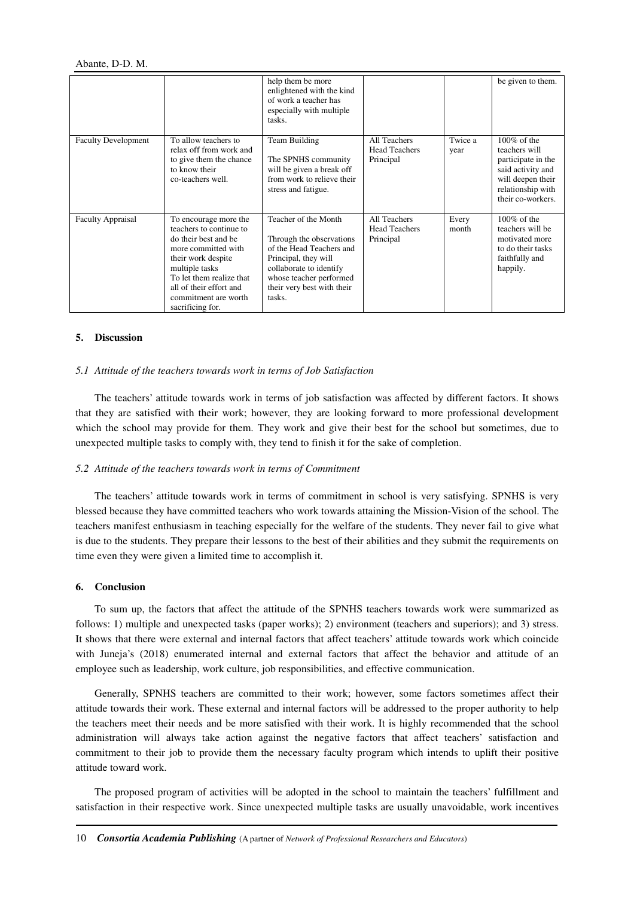|                            |                                                                                                                                                                                                                                            | help them be more<br>enlightened with the kind<br>of work a teacher has<br>especially with multiple<br>tasks.                                                                                      |                                                   |                 | be given to them.                                                                                                                         |
|----------------------------|--------------------------------------------------------------------------------------------------------------------------------------------------------------------------------------------------------------------------------------------|----------------------------------------------------------------------------------------------------------------------------------------------------------------------------------------------------|---------------------------------------------------|-----------------|-------------------------------------------------------------------------------------------------------------------------------------------|
| <b>Faculty Development</b> | To allow teachers to<br>relax off from work and<br>to give them the chance<br>to know their<br>co-teachers well.                                                                                                                           | Team Building<br>The SPNHS community<br>will be given a break off<br>from work to relieve their<br>stress and fatigue.                                                                             | All Teachers<br><b>Head Teachers</b><br>Principal | Twice a<br>year | $100\%$ of the<br>teachers will<br>participate in the<br>said activity and<br>will deepen their<br>relationship with<br>their co-workers. |
| <b>Faculty Appraisal</b>   | To encourage more the<br>teachers to continue to<br>do their best and be<br>more committed with<br>their work despite<br>multiple tasks<br>To let them realize that<br>all of their effort and<br>commitment are worth<br>sacrificing for. | Teacher of the Month<br>Through the observations<br>of the Head Teachers and<br>Principal, they will<br>collaborate to identify<br>whose teacher performed<br>their very best with their<br>tasks. | All Teachers<br><b>Head Teachers</b><br>Principal | Every<br>month  | $100\%$ of the<br>teachers will be<br>motivated more<br>to do their tasks<br>faithfully and<br>happily.                                   |

#### **5. Discussion**

## *5.1 Attitude of the teachers towards work in terms of Job Satisfaction*

The teachers' attitude towards work in terms of job satisfaction was affected by different factors. It shows that they are satisfied with their work; however, they are looking forward to more professional development which the school may provide for them. They work and give their best for the school but sometimes, due to unexpected multiple tasks to comply with, they tend to finish it for the sake of completion.

#### *5.2 Attitude of the teachers towards work in terms of Commitment*

The teachers' attitude towards work in terms of commitment in school is very satisfying. SPNHS is very blessed because they have committed teachers who work towards attaining the Mission-Vision of the school. The teachers manifest enthusiasm in teaching especially for the welfare of the students. They never fail to give what is due to the students. They prepare their lessons to the best of their abilities and they submit the requirements on time even they were given a limited time to accomplish it.

#### **6. Conclusion**

To sum up, the factors that affect the attitude of the SPNHS teachers towards work were summarized as follows: 1) multiple and unexpected tasks (paper works); 2) environment (teachers and superiors); and 3) stress. It shows that there were external and internal factors that affect teachers' attitude towards work which coincide with Juneja's (2018) enumerated internal and external factors that affect the behavior and attitude of an employee such as leadership, work culture, job responsibilities, and effective communication.

Generally, SPNHS teachers are committed to their work; however, some factors sometimes affect their attitude towards their work. These external and internal factors will be addressed to the proper authority to help the teachers meet their needs and be more satisfied with their work. It is highly recommended that the school administration will always take action against the negative factors that affect teachers' satisfaction and commitment to their job to provide them the necessary faculty program which intends to uplift their positive attitude toward work.

The proposed program of activities will be adopted in the school to maintain the teachers' fulfillment and satisfaction in their respective work. Since unexpected multiple tasks are usually unavoidable, work incentives